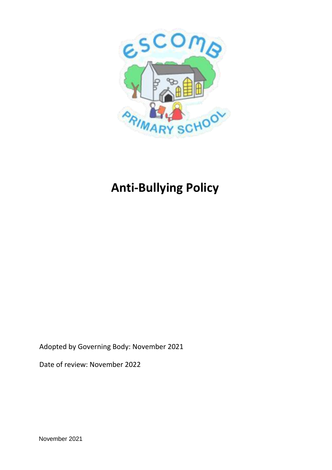

# **Anti-Bullying Policy**

Adopted by Governing Body: November 2021

Date of review: November 2022

November 2021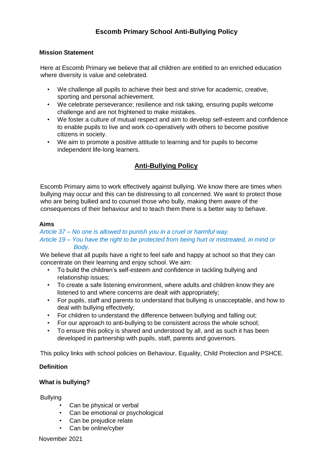# **Escomb Primary School Anti-Bullying Policy**

#### **Mission Statement**

Here at Escomb Primary we believe that all children are entitled to an enriched education where diversity is value and celebrated.

- We challenge all pupils to achieve their best and strive for academic, creative, sporting and personal achievement.
- We celebrate perseverance; resilience and risk taking, ensuring pupils welcome challenge and are not frightened to make mistakes.
- We foster a culture of mutual respect and aim to develop self-esteem and confidence to enable pupils to live and work co-operatively with others to become positive citizens in society.
- We aim to promote a positive attitude to learning and for pupils to become independent life-long learners.

# **Anti-Bullying Policy**

Escomb Primary aims to work effectively against bullying. We know there are times when bullying may occur and this can be distressing to all concerned. We want to protect those who are being bullied and to counsel those who bully, making them aware of the consequences of their behaviour and to teach them there is a better way to behave.

#### **Aims**

## *Article 37 – No one is allowed to punish you in a cruel or harmful way. Article 19 – You have the right to be protected from being hurt or mistreated, in mind or Body.*

We believe that all pupils have a right to feel safe and happy at school so that they can concentrate on their learning and enjoy school. We aim:

- To build the children's self-esteem and confidence in tackling bullying and relationship issues;
- To create a safe listening environment, where adults and children know they are listened to and where concerns are dealt with appropriately;
- For pupils, staff and parents to understand that bullying is unacceptable, and how to deal with bullying effectively;
- For children to understand the difference between bullying and falling out;
- For our approach to anti-bullying to be consistent across the whole school;
- To ensure this policy is shared and understood by all, and as such it has been developed in partnership with pupils, staff, parents and governors.

This policy links with school policies on Behaviour, Equality, Child Protection and PSHCE.

#### **Definition**

#### **What is bullying?**

Bullying

- Can be physical or verbal
- Can be emotional or psychological
- Can be prejudice relate
- Can be online/cyber

November 2021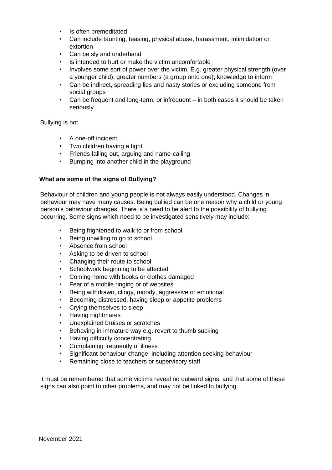- Is often premeditated
- Can include taunting, teasing, physical abuse, harassment, intimidation or extortion
- Can be sly and underhand
- Is intended to hurt or make the victim uncomfortable
- Involves some sort of power over the victim. E.g. greater physical strength (over a younger child); greater numbers (a group onto one); knowledge to inform
- Can be indirect, spreading lies and nasty stories or excluding someone from social groups
- Can be frequent and long-term, or infrequent in both cases it should be taken seriously

#### Bullying is not

- A one-off incident
- Two children having a fight
- Friends falling out, arguing and name-calling
- Bumping into another child in the playground

#### **What are some of the signs of Bullying?**

Behaviour of children and young people is not always easily understood. Changes in behaviour may have many causes. Being bullied can be one reason why a child or young person's behaviour changes. There is a need to be alert to the possibility of bullying occurring. Some signs which need to be investigated sensitively may include:

- Being frightened to walk to or from school
- Being unwilling to go to school
- Absence from school
- Asking to be driven to school
- Changing their route to school
- Schoolwork beginning to be affected
- Coming home with books or clothes damaged
- Fear of a mobile ringing or of websites
- Being withdrawn, clingy, moody, aggressive or emotional
- Becoming distressed, having sleep or appetite problems
- Crying themselves to sleep
- Having nightmares
- Unexplained bruises or scratches
- Behaving in immature way e.g. revert to thumb sucking
- Having difficulty concentrating
- Complaining frequently of illness
- Significant behaviour change, including attention seeking behaviour
- Remaining close to teachers or supervisory staff

It must be remembered that some victims reveal no outward signs, and that some of these signs can also point to other problems, and may not be linked to bullying.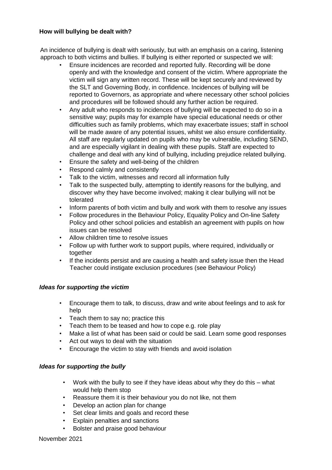## **How will bullying be dealt with?**

An incidence of bullying is dealt with seriously, but with an emphasis on a caring, listening approach to both victims and bullies. If bullying is either reported or suspected we will:

- Ensure incidences are recorded and reported fully. Recording will be done openly and with the knowledge and consent of the victim. Where appropriate the victim will sign any written record. These will be kept securely and reviewed by the SLT and Governing Body, in confidence. Incidences of bullying will be reported to Governors, as appropriate and where necessary other school policies and procedures will be followed should any further action be required.
- Any adult who responds to incidences of bullying will be expected to do so in a sensitive way; pupils may for example have special educational needs or other difficulties such as family problems, which may exacerbate issues; staff in school will be made aware of any potential issues, whilst we also ensure confidentiality. All staff are regularly updated on pupils who may be vulnerable, including SEND, and are especially vigilant in dealing with these pupils. Staff are expected to challenge and deal with any kind of bullying, including prejudice related bullying.
- Ensure the safety and well-being of the children
- Respond calmly and consistently
- Talk to the victim, witnesses and record all information fully
- Talk to the suspected bully, attempting to identify reasons for the bullying, and discover why they have become involved; making it clear bullying will not be tolerated
- Inform parents of both victim and bully and work with them to resolve any issues
- Follow procedures in the Behaviour Policy, Equality Policy and On-line Safety Policy and other school policies and establish an agreement with pupils on how issues can be resolved
- Allow children time to resolve issues
- Follow up with further work to support pupils, where required, individually or together
- If the incidents persist and are causing a health and safety issue then the Head Teacher could instigate exclusion procedures (see Behaviour Policy)

#### *Ideas for supporting the victim*

- Encourage them to talk, to discuss, draw and write about feelings and to ask for help
- Teach them to say no; practice this
- Teach them to be teased and how to cope e.g. role play
- Make a list of what has been said or could be said. Learn some good responses
- Act out ways to deal with the situation
- Encourage the victim to stay with friends and avoid isolation

#### *Ideas for supporting the bully*

- Work with the bully to see if they have ideas about why they do this what would help them stop
- Reassure them it is their behaviour you do not like, not them
- Develop an action plan for change
- Set clear limits and goals and record these
- Explain penalties and sanctions
- Bolster and praise good behaviour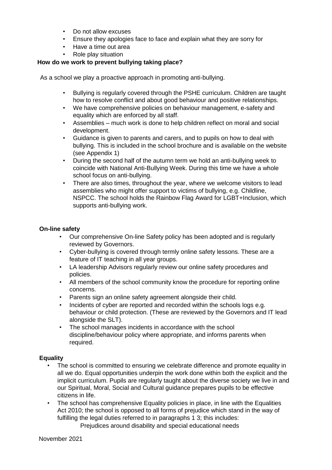- Do not allow excuses
- Ensure they apologies face to face and explain what they are sorry for
- Have a time out area
- Role play situation

#### **How do we work to prevent bullying taking place?**

As a school we play a proactive approach in promoting anti-bullying.

- Bullying is regularly covered through the PSHE curriculum. Children are taught how to resolve conflict and about good behaviour and positive relationships.
- We have comprehensive policies on behaviour management, e-safety and equality which are enforced by all staff.
- Assemblies much work is done to help children reflect on moral and social development.
- Guidance is given to parents and carers, and to pupils on how to deal with bullying. This is included in the school brochure and is available on the website (see Appendix 1)
- During the second half of the autumn term we hold an anti-bullying week to coincide with National Anti-Bullying Week. During this time we have a whole school focus on anti-bullying.
- There are also times, throughout the year, where we welcome visitors to lead assemblies who might offer support to victims of bullying, e.g. Childline, NSPCC. The school holds the Rainbow Flag Award for LGBT+Inclusion, which supports anti-bullying work.

## **On-line safety**

- Our comprehensive On-line Safety policy has been adopted and is regularly reviewed by Governors.
- Cyber-bullying is covered through termly online safety lessons. These are a feature of IT teaching in all year groups.
- LA leadership Advisors regularly review our online safety procedures and policies.
- All members of the school community know the procedure for reporting online concerns.
- Parents sign an online safety agreement alongside their child.
- Incidents of cyber are reported and recorded within the schools logs e.g. behaviour or child protection. (These are reviewed by the Governors and IT lead alongside the SLT).
- The school manages incidents in accordance with the school discipline/behaviour policy where appropriate, and informs parents when required.

#### **Equality**

- The school is committed to ensuring we celebrate difference and promote equality in all we do. Equal opportunities underpin the work done within both the explicit and the implicit curriculum. Pupils are regularly taught about the diverse society we live in and our Spiritual, Moral, Social and Cultural guidance prepares pupils to be effective citizens in life.
- The school has comprehensive Equality policies in place, in line with the Equalities Act 2010; the school is opposed to all forms of prejudice which stand in the way of fulfilling the legal duties referred to in paragraphs 1 3; this includes:

Prejudices around disability and special educational needs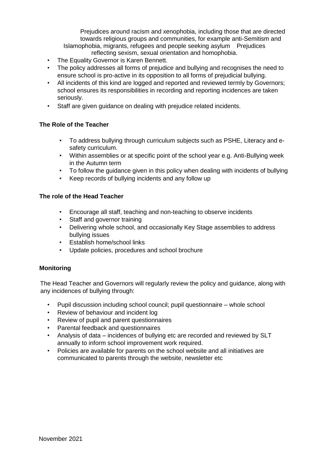Prejudices around racism and xenophobia, including those that are directed towards religious groups and communities, for example anti-Semitism and Islamophobia, migrants, refugees and people seeking asylum Prejudices reflecting sexism, sexual orientation and homophobia.

- The Equality Governor is Karen Bennett.
- The policy addresses all forms of prejudice and bullying and recognises the need to ensure school is pro-active in its opposition to all forms of prejudicial bullying.
- All incidents of this kind are logged and reported and reviewed termly by Governors; school ensures its responsibilities in recording and reporting incidences are taken seriously.
- Staff are given guidance on dealing with prejudice related incidents.

## **The Role of the Teacher**

- To address bullying through curriculum subjects such as PSHE, Literacy and esafety curriculum.
- Within assemblies or at specific point of the school year e.g. Anti-Bullying week in the Autumn term
- To follow the guidance given in this policy when dealing with incidents of bullying
- Keep records of bullying incidents and any follow up

#### **The role of the Head Teacher**

- Encourage all staff, teaching and non-teaching to observe incidents
- Staff and governor training
- Delivering whole school, and occasionally Key Stage assemblies to address bullying issues
- Establish home/school links
- Update policies, procedures and school brochure

#### **Monitoring**

The Head Teacher and Governors will regularly review the policy and guidance, along with any incidences of bullying through:

- Pupil discussion including school council; pupil questionnaire whole school
- Review of behaviour and incident log
- Review of pupil and parent questionnaires
- Parental feedback and questionnaires
- Analysis of data incidences of bullying etc are recorded and reviewed by SLT annually to inform school improvement work required.
- Policies are available for parents on the school website and all initiatives are communicated to parents through the website, newsletter etc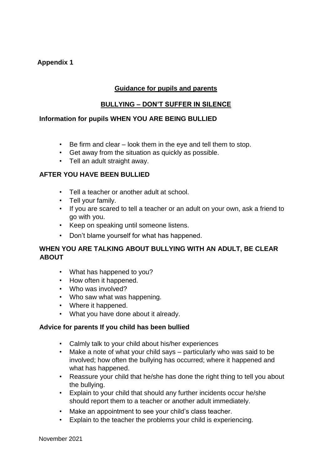# **Appendix 1**

# **Guidance for pupils and parents**

# **BULLYING – DON'T SUFFER IN SILENCE**

## **Information for pupils WHEN YOU ARE BEING BULLIED**

- Be firm and clear look them in the eye and tell them to stop.
- Get away from the situation as quickly as possible.
- Tell an adult straight away.

# **AFTER YOU HAVE BEEN BULLIED**

- Tell a teacher or another adult at school.
- Tell your family.
- If you are scared to tell a teacher or an adult on your own, ask a friend to go with you.
- Keep on speaking until someone listens.
- Don't blame yourself for what has happened.

# **WHEN YOU ARE TALKING ABOUT BULLYING WITH AN ADULT, BE CLEAR ABOUT**

- What has happened to you?
- How often it happened.
- Who was involved?
- Who saw what was happening.
- Where it happened.
- What you have done about it already.

## **Advice for parents If you child has been bullied**

- Calmly talk to your child about his/her experiences
- Make a note of what your child says particularly who was said to be involved; how often the bullying has occurred; where it happened and what has happened.
- Reassure your child that he/she has done the right thing to tell you about the bullying.
- Explain to your child that should any further incidents occur he/she should report them to a teacher or another adult immediately.
- Make an appointment to see your child's class teacher.
- Explain to the teacher the problems your child is experiencing.